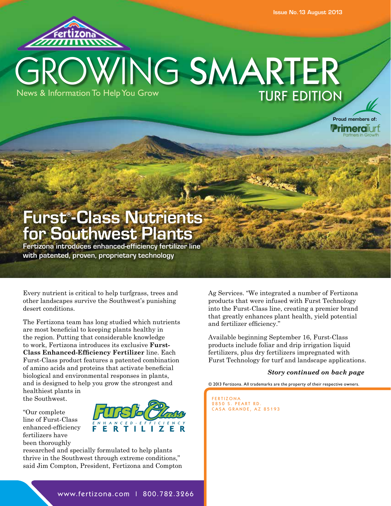

## GROWING SMARTER News & Information To Help You Grow TURF EDITION

Proud members of: **Primera**Turf

## **Furst® -Class Nutrients for Southwest Plants**

**Fertizona introduces enhanced-efficiency fertilizer line with patented, proven, proprietary technology**

Every nutrient is critical to help turfgrass, trees and other landscapes survive the Southwest's punishing desert conditions.

The Fertizona team has long studied which nutrients are most beneficial to keeping plants healthy in the region. Putting that considerable knowledge to work, Fertizona introduces its exclusive **Furst-Class Enhanced-Efficiency Fertilizer** line. Each Furst-Class product features a patented combination of amino acids and proteins that activate beneficial biological and environmental responses in plants, and is designed to help you grow the strongest and healthiest plants in the Southwest.

"Our complete line of Furst-Class enhanced-efficiency fertilizers have been thoroughly



researched and specially formulated to help plants thrive in the Southwest through extreme conditions," said Jim Compton, President, Fertizona and Compton Ag Services. "We integrated a number of Fertizona products that were infused with Furst Technology into the Furst-Class line, creating a premier brand that greatly enhances plant health, yield potential and fertilizer efficiency."

Available beginning September 16, Furst-Class products include foliar and drip irrigation liquid fertilizers, plus dry fertilizers impregnated with Furst Technology for turf and landscape applications.

#### *Story continued on back page*

© 2013 Fertizona. All trademarks are the property of their respective owners.

FERTIZONA 2850 S. PEART RD. CASA GRANDE, AZ 85193

www.fertizona.com | 800.782.3266